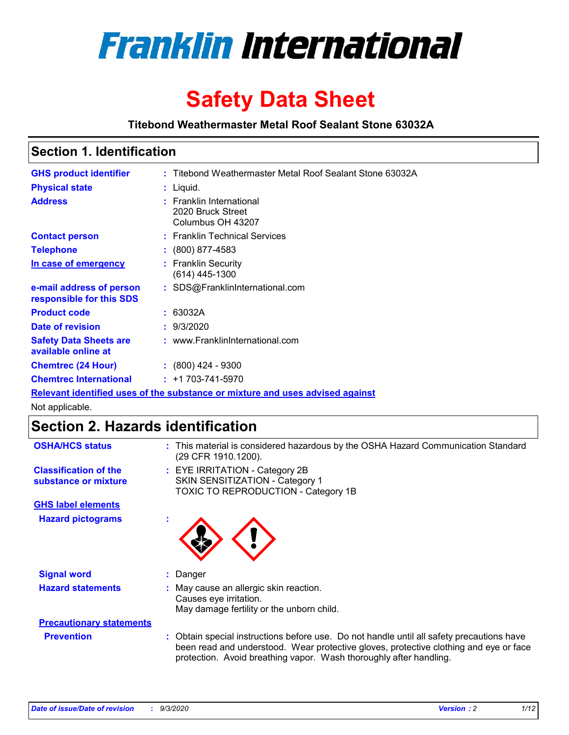

# **Safety Data Sheet**

**Titebond Weathermaster Metal Roof Sealant Stone 63032A**

### **Section 1. Identification**

| <b>GHS product identifier</b>                        | : Titebond Weathermaster Metal Roof Sealant Stone 63032A                      |  |
|------------------------------------------------------|-------------------------------------------------------------------------------|--|
| <b>Physical state</b>                                | : Liquid.                                                                     |  |
| <b>Address</b>                                       | : Franklin International<br>2020 Bruck Street<br>Columbus OH 43207            |  |
| <b>Contact person</b>                                | : Franklin Technical Services                                                 |  |
| <b>Telephone</b>                                     | $: (800) 877 - 4583$                                                          |  |
| In case of emergency                                 | : Franklin Security<br>(614) 445-1300                                         |  |
| e-mail address of person<br>responsible for this SDS | : SDS@FranklinInternational.com                                               |  |
| <b>Product code</b>                                  | : 63032A                                                                      |  |
| Date of revision                                     | : 9/3/2020                                                                    |  |
| <b>Safety Data Sheets are</b><br>available online at | : www.FranklinInternational.com                                               |  |
| <b>Chemtrec (24 Hour)</b>                            | $\div$ (800) 424 - 9300                                                       |  |
| <b>Chemtrec International</b>                        | $: +1703 - 741 - 5970$                                                        |  |
|                                                      | Relevant identified uses of the substance or mixture and uses advised against |  |

Not applicable.

## **Section 2. Hazards identification**

| <b>OSHA/HCS status</b>                               | : This material is considered hazardous by the OSHA Hazard Communication Standard<br>(29 CFR 1910.1200).                                                                                                                                                 |
|------------------------------------------------------|----------------------------------------------------------------------------------------------------------------------------------------------------------------------------------------------------------------------------------------------------------|
| <b>Classification of the</b><br>substance or mixture | : EYE IRRITATION - Category 2B<br>SKIN SENSITIZATION - Category 1<br>TOXIC TO REPRODUCTION - Category 1B                                                                                                                                                 |
| <b>GHS label elements</b>                            |                                                                                                                                                                                                                                                          |
| <b>Hazard pictograms</b>                             |                                                                                                                                                                                                                                                          |
| <b>Signal word</b>                                   | : Danger                                                                                                                                                                                                                                                 |
| <b>Hazard statements</b>                             | : May cause an allergic skin reaction.<br>Causes eye irritation.<br>May damage fertility or the unborn child.                                                                                                                                            |
| <b>Precautionary statements</b>                      |                                                                                                                                                                                                                                                          |
| <b>Prevention</b>                                    | : Obtain special instructions before use. Do not handle until all safety precautions have<br>been read and understood. Wear protective gloves, protective clothing and eye or face<br>protection. Avoid breathing vapor. Wash thoroughly after handling. |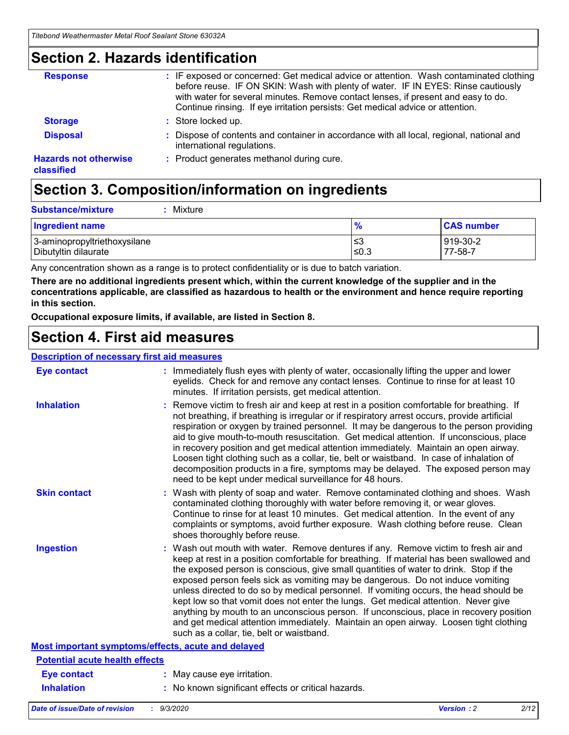### **Section 2. Hazards identification**

| <b>Response</b>                            | : IF exposed or concerned: Get medical advice or attention. Wash contaminated clothing<br>before reuse. IF ON SKIN: Wash with plenty of water. IF IN EYES: Rinse cautiously<br>with water for several minutes. Remove contact lenses, if present and easy to do.<br>Continue rinsing. If eye irritation persists: Get medical advice or attention. |
|--------------------------------------------|----------------------------------------------------------------------------------------------------------------------------------------------------------------------------------------------------------------------------------------------------------------------------------------------------------------------------------------------------|
| <b>Storage</b>                             | : Store locked up.                                                                                                                                                                                                                                                                                                                                 |
| <b>Disposal</b>                            | : Dispose of contents and container in accordance with all local, regional, national and<br>international regulations.                                                                                                                                                                                                                             |
| <b>Hazards not otherwise</b><br>classified | : Product generates methanol during cure.                                                                                                                                                                                                                                                                                                          |

## **Section 3. Composition/information on ingredients**

| <b>Substance/mixture</b> | Mixture |
|--------------------------|---------|
|                          |         |

| <b>Ingredient name</b>       | $\frac{9}{6}$ | <b>CAS number</b> |
|------------------------------|---------------|-------------------|
| 3-aminopropyltriethoxysilane | ՝≤3           | 919-30-2          |
| Dibutyltin dilaurate         | ∣≤0.3         | 77-58-7           |

Any concentration shown as a range is to protect confidentiality or is due to batch variation.

**There are no additional ingredients present which, within the current knowledge of the supplier and in the concentrations applicable, are classified as hazardous to health or the environment and hence require reporting in this section.**

**Occupational exposure limits, if available, are listed in Section 8.**

### **Section 4. First aid measures**

| <b>Description of necessary first aid measures</b> |                                                                                                                                                                                                                                                                                                                                                                                                                                                                                                                                                                                                                                                                                                                                                                           |
|----------------------------------------------------|---------------------------------------------------------------------------------------------------------------------------------------------------------------------------------------------------------------------------------------------------------------------------------------------------------------------------------------------------------------------------------------------------------------------------------------------------------------------------------------------------------------------------------------------------------------------------------------------------------------------------------------------------------------------------------------------------------------------------------------------------------------------------|
| <b>Eye contact</b>                                 | : Immediately flush eyes with plenty of water, occasionally lifting the upper and lower<br>eyelids. Check for and remove any contact lenses. Continue to rinse for at least 10<br>minutes. If irritation persists, get medical attention.                                                                                                                                                                                                                                                                                                                                                                                                                                                                                                                                 |
| <b>Inhalation</b>                                  | : Remove victim to fresh air and keep at rest in a position comfortable for breathing. If<br>not breathing, if breathing is irregular or if respiratory arrest occurs, provide artificial<br>respiration or oxygen by trained personnel. It may be dangerous to the person providing<br>aid to give mouth-to-mouth resuscitation. Get medical attention. If unconscious, place<br>in recovery position and get medical attention immediately. Maintain an open airway.<br>Loosen tight clothing such as a collar, tie, belt or waistband. In case of inhalation of<br>decomposition products in a fire, symptoms may be delayed. The exposed person may<br>need to be kept under medical surveillance for 48 hours.                                                       |
| <b>Skin contact</b>                                | : Wash with plenty of soap and water. Remove contaminated clothing and shoes. Wash<br>contaminated clothing thoroughly with water before removing it, or wear gloves.<br>Continue to rinse for at least 10 minutes. Get medical attention. In the event of any<br>complaints or symptoms, avoid further exposure. Wash clothing before reuse. Clean<br>shoes thoroughly before reuse.                                                                                                                                                                                                                                                                                                                                                                                     |
| <b>Ingestion</b>                                   | : Wash out mouth with water. Remove dentures if any. Remove victim to fresh air and<br>keep at rest in a position comfortable for breathing. If material has been swallowed and<br>the exposed person is conscious, give small quantities of water to drink. Stop if the<br>exposed person feels sick as vomiting may be dangerous. Do not induce vomiting<br>unless directed to do so by medical personnel. If vomiting occurs, the head should be<br>kept low so that vomit does not enter the lungs. Get medical attention. Never give<br>anything by mouth to an unconscious person. If unconscious, place in recovery position<br>and get medical attention immediately. Maintain an open airway. Loosen tight clothing<br>such as a collar, tie, belt or waistband. |
| Most important symptoms/effects, acute and delayed |                                                                                                                                                                                                                                                                                                                                                                                                                                                                                                                                                                                                                                                                                                                                                                           |
| <b>Potential acute health effects</b>              |                                                                                                                                                                                                                                                                                                                                                                                                                                                                                                                                                                                                                                                                                                                                                                           |
| <b>Eye contact</b>                                 | : May cause eye irritation.                                                                                                                                                                                                                                                                                                                                                                                                                                                                                                                                                                                                                                                                                                                                               |
| <b>Inhalation</b>                                  | : No known significant effects or critical hazards.                                                                                                                                                                                                                                                                                                                                                                                                                                                                                                                                                                                                                                                                                                                       |
|                                                    |                                                                                                                                                                                                                                                                                                                                                                                                                                                                                                                                                                                                                                                                                                                                                                           |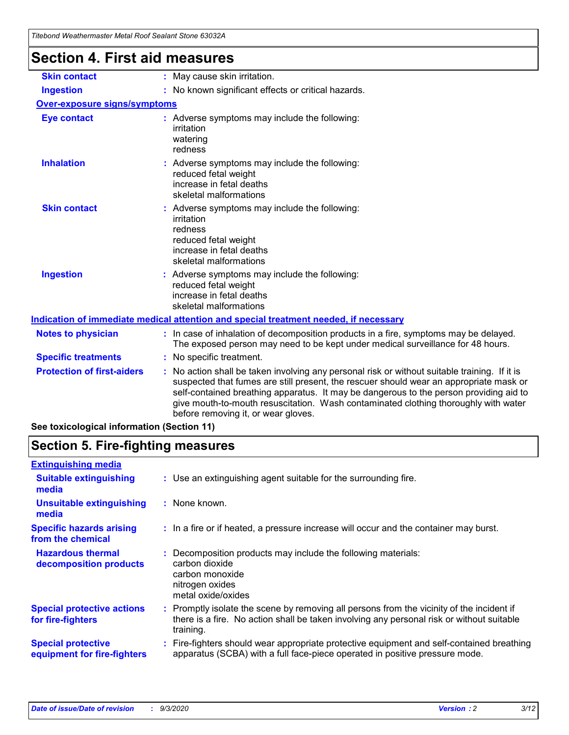| , "Goono wcanichiasici wciar i voli ocalani Slone ososz-                                                                                                                                                                                                                                                                                                                                                                                             |                                                                                                                                                                          |  |
|------------------------------------------------------------------------------------------------------------------------------------------------------------------------------------------------------------------------------------------------------------------------------------------------------------------------------------------------------------------------------------------------------------------------------------------------------|--------------------------------------------------------------------------------------------------------------------------------------------------------------------------|--|
| <b>Section 4. First aid measures</b>                                                                                                                                                                                                                                                                                                                                                                                                                 |                                                                                                                                                                          |  |
| <b>Skin contact</b>                                                                                                                                                                                                                                                                                                                                                                                                                                  | : May cause skin irritation.                                                                                                                                             |  |
| <b>Ingestion</b>                                                                                                                                                                                                                                                                                                                                                                                                                                     | : No known significant effects or critical hazards.                                                                                                                      |  |
| <b>Over-exposure signs/symptoms</b>                                                                                                                                                                                                                                                                                                                                                                                                                  |                                                                                                                                                                          |  |
| <b>Eye contact</b>                                                                                                                                                                                                                                                                                                                                                                                                                                   | : Adverse symptoms may include the following:<br>irritation<br>watering<br>redness                                                                                       |  |
| <b>Inhalation</b>                                                                                                                                                                                                                                                                                                                                                                                                                                    | : Adverse symptoms may include the following:<br>reduced fetal weight<br>increase in fetal deaths<br>skeletal malformations                                              |  |
| <b>Skin contact</b>                                                                                                                                                                                                                                                                                                                                                                                                                                  | : Adverse symptoms may include the following:<br>irritation<br>redness<br>reduced fetal weight<br>increase in fetal deaths<br>skeletal malformations                     |  |
| <b>Ingestion</b>                                                                                                                                                                                                                                                                                                                                                                                                                                     | Adverse symptoms may include the following:<br>reduced fetal weight<br>increase in fetal deaths<br>skeletal malformations                                                |  |
|                                                                                                                                                                                                                                                                                                                                                                                                                                                      | Indication of immediate medical attention and special treatment needed, if necessary                                                                                     |  |
| <b>Notes to physician</b>                                                                                                                                                                                                                                                                                                                                                                                                                            | : In case of inhalation of decomposition products in a fire, symptoms may be delayed.<br>The exposed person may need to be kept under medical surveillance for 48 hours. |  |
| <b>Specific treatments</b>                                                                                                                                                                                                                                                                                                                                                                                                                           | : No specific treatment.                                                                                                                                                 |  |
| <b>Protection of first-aiders</b><br>: No action shall be taken involving any personal risk or without suitable training. If it is<br>suspected that fumes are still present, the rescuer should wear an appropriate mask or<br>self-contained breathing apparatus. It may be dangerous to the person providing aid to<br>give mouth-to-mouth resuscitation. Wash contaminated clothing thoroughly with water<br>before removing it, or wear gloves. |                                                                                                                                                                          |  |
| See toxicological information (Section 11)                                                                                                                                                                                                                                                                                                                                                                                                           |                                                                                                                                                                          |  |

## **Section 5. Fire-fighting measures**

| <b>Extinguishing media</b>                               |                                                                                                                                                                                                     |
|----------------------------------------------------------|-----------------------------------------------------------------------------------------------------------------------------------------------------------------------------------------------------|
| <b>Suitable extinguishing</b><br>media                   | : Use an extinguishing agent suitable for the surrounding fire.                                                                                                                                     |
| <b>Unsuitable extinguishing</b><br>media                 | : None known.                                                                                                                                                                                       |
| <b>Specific hazards arising</b><br>from the chemical     | : In a fire or if heated, a pressure increase will occur and the container may burst.                                                                                                               |
| <b>Hazardous thermal</b><br>decomposition products       | : Decomposition products may include the following materials:<br>carbon dioxide<br>carbon monoxide<br>nitrogen oxides<br>metal oxide/oxides                                                         |
| <b>Special protective actions</b><br>for fire-fighters   | : Promptly isolate the scene by removing all persons from the vicinity of the incident if<br>there is a fire. No action shall be taken involving any personal risk or without suitable<br>training. |
| <b>Special protective</b><br>equipment for fire-fighters | : Fire-fighters should wear appropriate protective equipment and self-contained breathing<br>apparatus (SCBA) with a full face-piece operated in positive pressure mode.                            |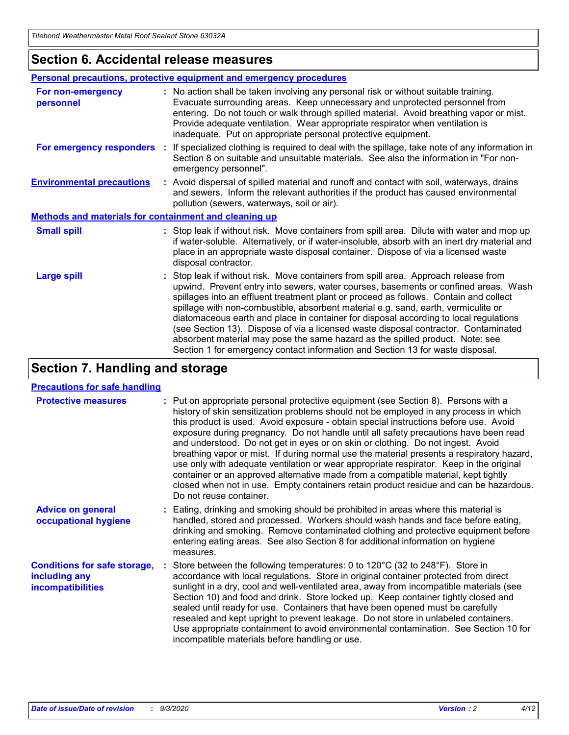### **Section 6. Accidental release measures**

|                                                              | <b>Personal precautions, protective equipment and emergency procedures</b>                                                                                                                                                                                                                                                                                                                                                                                                                                                                                                                                                                                                                                   |  |  |  |  |
|--------------------------------------------------------------|--------------------------------------------------------------------------------------------------------------------------------------------------------------------------------------------------------------------------------------------------------------------------------------------------------------------------------------------------------------------------------------------------------------------------------------------------------------------------------------------------------------------------------------------------------------------------------------------------------------------------------------------------------------------------------------------------------------|--|--|--|--|
| For non-emergency<br>personnel                               | : No action shall be taken involving any personal risk or without suitable training.<br>Evacuate surrounding areas. Keep unnecessary and unprotected personnel from<br>entering. Do not touch or walk through spilled material. Avoid breathing vapor or mist.<br>Provide adequate ventilation. Wear appropriate respirator when ventilation is<br>inadequate. Put on appropriate personal protective equipment.                                                                                                                                                                                                                                                                                             |  |  |  |  |
| For emergency responders                                     | : If specialized clothing is required to deal with the spillage, take note of any information in<br>Section 8 on suitable and unsuitable materials. See also the information in "For non-<br>emergency personnel".                                                                                                                                                                                                                                                                                                                                                                                                                                                                                           |  |  |  |  |
| <b>Environmental precautions</b>                             | : Avoid dispersal of spilled material and runoff and contact with soil, waterways, drains<br>and sewers. Inform the relevant authorities if the product has caused environmental<br>pollution (sewers, waterways, soil or air).                                                                                                                                                                                                                                                                                                                                                                                                                                                                              |  |  |  |  |
| <b>Methods and materials for containment and cleaning up</b> |                                                                                                                                                                                                                                                                                                                                                                                                                                                                                                                                                                                                                                                                                                              |  |  |  |  |
| <b>Small spill</b>                                           | : Stop leak if without risk. Move containers from spill area. Dilute with water and mop up<br>if water-soluble. Alternatively, or if water-insoluble, absorb with an inert dry material and<br>place in an appropriate waste disposal container. Dispose of via a licensed waste<br>disposal contractor.                                                                                                                                                                                                                                                                                                                                                                                                     |  |  |  |  |
| <b>Large spill</b>                                           | : Stop leak if without risk. Move containers from spill area. Approach release from<br>upwind. Prevent entry into sewers, water courses, basements or confined areas. Wash<br>spillages into an effluent treatment plant or proceed as follows. Contain and collect<br>spillage with non-combustible, absorbent material e.g. sand, earth, vermiculite or<br>diatomaceous earth and place in container for disposal according to local regulations<br>(see Section 13). Dispose of via a licensed waste disposal contractor. Contaminated<br>absorbent material may pose the same hazard as the spilled product. Note: see<br>Section 1 for emergency contact information and Section 13 for waste disposal. |  |  |  |  |

## **Section 7. Handling and storage**

### **Precautions for safe handling**

| <b>Protective measures</b>                                                       | : Put on appropriate personal protective equipment (see Section 8). Persons with a<br>history of skin sensitization problems should not be employed in any process in which<br>this product is used. Avoid exposure - obtain special instructions before use. Avoid<br>exposure during pregnancy. Do not handle until all safety precautions have been read<br>and understood. Do not get in eyes or on skin or clothing. Do not ingest. Avoid<br>breathing vapor or mist. If during normal use the material presents a respiratory hazard,<br>use only with adequate ventilation or wear appropriate respirator. Keep in the original<br>container or an approved alternative made from a compatible material, kept tightly<br>closed when not in use. Empty containers retain product residue and can be hazardous.<br>Do not reuse container. |
|----------------------------------------------------------------------------------|--------------------------------------------------------------------------------------------------------------------------------------------------------------------------------------------------------------------------------------------------------------------------------------------------------------------------------------------------------------------------------------------------------------------------------------------------------------------------------------------------------------------------------------------------------------------------------------------------------------------------------------------------------------------------------------------------------------------------------------------------------------------------------------------------------------------------------------------------|
| <b>Advice on general</b><br>occupational hygiene                                 | : Eating, drinking and smoking should be prohibited in areas where this material is<br>handled, stored and processed. Workers should wash hands and face before eating,<br>drinking and smoking. Remove contaminated clothing and protective equipment before<br>entering eating areas. See also Section 8 for additional information on hygiene<br>measures.                                                                                                                                                                                                                                                                                                                                                                                                                                                                                    |
| <b>Conditions for safe storage,</b><br>including any<br><i>incompatibilities</i> | Store between the following temperatures: 0 to 120°C (32 to 248°F). Store in<br>accordance with local regulations. Store in original container protected from direct<br>sunlight in a dry, cool and well-ventilated area, away from incompatible materials (see<br>Section 10) and food and drink. Store locked up. Keep container tightly closed and<br>sealed until ready for use. Containers that have been opened must be carefully<br>resealed and kept upright to prevent leakage. Do not store in unlabeled containers.<br>Use appropriate containment to avoid environmental contamination. See Section 10 for<br>incompatible materials before handling or use.                                                                                                                                                                         |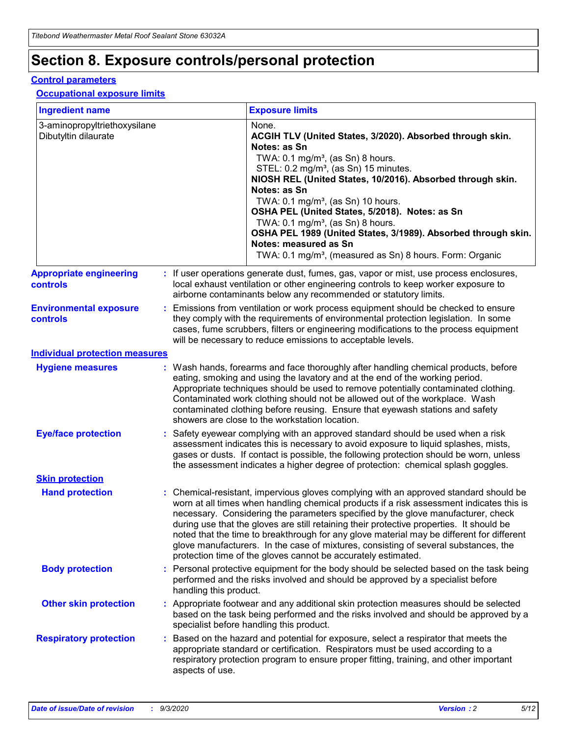## **Section 8. Exposure controls/personal protection**

### **Control parameters**

#### **Occupational exposure limits**

| <b>Ingredient name</b>                               |    |                        | <b>Exposure limits</b>                                                                                                                                                                                                                                                                                                                                                                                                                                                                                                                                                                                                 |
|------------------------------------------------------|----|------------------------|------------------------------------------------------------------------------------------------------------------------------------------------------------------------------------------------------------------------------------------------------------------------------------------------------------------------------------------------------------------------------------------------------------------------------------------------------------------------------------------------------------------------------------------------------------------------------------------------------------------------|
| 3-aminopropyltriethoxysilane<br>Dibutyltin dilaurate |    |                        | None.<br>ACGIH TLV (United States, 3/2020). Absorbed through skin.<br>Notes: as Sn<br>TWA: $0.1 \text{ mg/m}^3$ , (as Sn) 8 hours.<br>STEL: 0.2 mg/m <sup>3</sup> , (as Sn) 15 minutes.<br>NIOSH REL (United States, 10/2016). Absorbed through skin.<br>Notes: as Sn<br>TWA: 0.1 mg/m <sup>3</sup> , (as Sn) 10 hours.<br>OSHA PEL (United States, 5/2018). Notes: as Sn<br>TWA: $0.1 \text{ mg/m}^3$ , (as Sn) 8 hours.<br>OSHA PEL 1989 (United States, 3/1989). Absorbed through skin.<br>Notes: measured as Sn<br>TWA: 0.1 mg/m <sup>3</sup> , (measured as Sn) 8 hours. Form: Organic                            |
| <b>Appropriate engineering</b><br>controls           |    |                        | : If user operations generate dust, fumes, gas, vapor or mist, use process enclosures,<br>local exhaust ventilation or other engineering controls to keep worker exposure to<br>airborne contaminants below any recommended or statutory limits.                                                                                                                                                                                                                                                                                                                                                                       |
| <b>Environmental exposure</b><br>controls            |    |                        | Emissions from ventilation or work process equipment should be checked to ensure<br>they comply with the requirements of environmental protection legislation. In some<br>cases, fume scrubbers, filters or engineering modifications to the process equipment<br>will be necessary to reduce emissions to acceptable levels.                                                                                                                                                                                                                                                                                          |
| <b>Individual protection measures</b>                |    |                        |                                                                                                                                                                                                                                                                                                                                                                                                                                                                                                                                                                                                                        |
| <b>Hygiene measures</b>                              |    |                        | : Wash hands, forearms and face thoroughly after handling chemical products, before<br>eating, smoking and using the lavatory and at the end of the working period.<br>Appropriate techniques should be used to remove potentially contaminated clothing.<br>Contaminated work clothing should not be allowed out of the workplace. Wash<br>contaminated clothing before reusing. Ensure that eyewash stations and safety<br>showers are close to the workstation location.                                                                                                                                            |
| <b>Eye/face protection</b>                           |    |                        | : Safety eyewear complying with an approved standard should be used when a risk<br>assessment indicates this is necessary to avoid exposure to liquid splashes, mists,<br>gases or dusts. If contact is possible, the following protection should be worn, unless<br>the assessment indicates a higher degree of protection: chemical splash goggles.                                                                                                                                                                                                                                                                  |
| <b>Skin protection</b>                               |    |                        |                                                                                                                                                                                                                                                                                                                                                                                                                                                                                                                                                                                                                        |
| <b>Hand protection</b>                               |    |                        | : Chemical-resistant, impervious gloves complying with an approved standard should be<br>worn at all times when handling chemical products if a risk assessment indicates this is<br>necessary. Considering the parameters specified by the glove manufacturer, check<br>during use that the gloves are still retaining their protective properties. It should be<br>noted that the time to breakthrough for any glove material may be different for different<br>glove manufacturers. In the case of mixtures, consisting of several substances, the<br>protection time of the gloves cannot be accurately estimated. |
| <b>Body protection</b>                               |    | handling this product. | Personal protective equipment for the body should be selected based on the task being<br>performed and the risks involved and should be approved by a specialist before                                                                                                                                                                                                                                                                                                                                                                                                                                                |
| <b>Other skin protection</b>                         |    |                        | : Appropriate footwear and any additional skin protection measures should be selected<br>based on the task being performed and the risks involved and should be approved by a<br>specialist before handling this product.                                                                                                                                                                                                                                                                                                                                                                                              |
| <b>Respiratory protection</b>                        | ÷. | aspects of use.        | Based on the hazard and potential for exposure, select a respirator that meets the<br>appropriate standard or certification. Respirators must be used according to a<br>respiratory protection program to ensure proper fitting, training, and other important                                                                                                                                                                                                                                                                                                                                                         |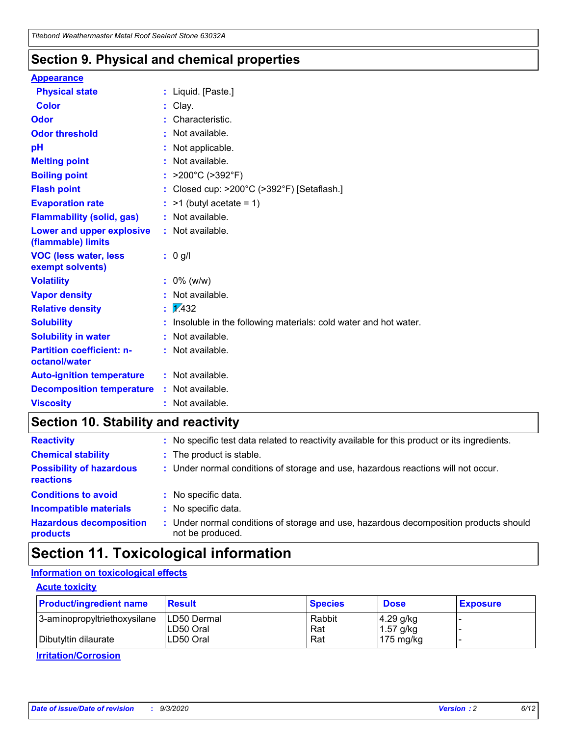### **Section 9. Physical and chemical properties**

### **Appearance**

| <b>Physical state</b>                                  | : Liquid. [Paste.]                                              |
|--------------------------------------------------------|-----------------------------------------------------------------|
| Color                                                  | Clay.                                                           |
| Odor                                                   | Characteristic.                                                 |
| <b>Odor threshold</b>                                  | Not available.                                                  |
| pH                                                     | Not applicable.                                                 |
| <b>Melting point</b>                                   | Not available.                                                  |
| <b>Boiling point</b>                                   | : $>200^{\circ}$ C ( $>392^{\circ}$ F)                          |
| <b>Flash point</b>                                     | Closed cup: >200°C (>392°F) [Setaflash.]                        |
| <b>Evaporation rate</b>                                | $:$ >1 (butyl acetate = 1)                                      |
| <b>Flammability (solid, gas)</b>                       | : Not available.                                                |
| <b>Lower and upper explosive</b><br>(flammable) limits | : Not available.                                                |
| <b>VOC (less water, less)</b><br>exempt solvents)      | $: 0$ g/l                                                       |
| <b>Volatility</b>                                      | $: 0\%$ (w/w)                                                   |
| <b>Vapor density</b>                                   | Not available.                                                  |
| <b>Relative density</b>                                | $\frac{1}{2}$ 2.432                                             |
| <b>Solubility</b>                                      | Insoluble in the following materials: cold water and hot water. |
| <b>Solubility in water</b>                             | Not available.                                                  |
| <b>Partition coefficient: n-</b><br>octanol/water      | : Not available.                                                |
| <b>Auto-ignition temperature</b>                       | : Not available.                                                |
| <b>Decomposition temperature</b>                       | : Not available.                                                |
| <b>Viscosity</b>                                       | : Not available.                                                |

### **Section 10. Stability and reactivity**

| <b>Reactivity</b>                            |    | : No specific test data related to reactivity available for this product or its ingredients.            |
|----------------------------------------------|----|---------------------------------------------------------------------------------------------------------|
| <b>Chemical stability</b>                    |    | : The product is stable.                                                                                |
| <b>Possibility of hazardous</b><br>reactions |    | : Under normal conditions of storage and use, hazardous reactions will not occur.                       |
| <b>Conditions to avoid</b>                   |    | : No specific data.                                                                                     |
| <b>Incompatible materials</b>                | ٠. | No specific data.                                                                                       |
| <b>Hazardous decomposition</b><br>products   | ÷. | Under normal conditions of storage and use, hazardous decomposition products should<br>not be produced. |

## **Section 11. Toxicological information**

### **Information on toxicological effects**

### **Acute toxicity**

| <b>Product/ingredient name</b> | <b>Result</b>           | <b>Species</b> | <b>Dose</b>                | <b>Exposure</b> |
|--------------------------------|-------------------------|----------------|----------------------------|-----------------|
| 3-aminopropyltriethoxysilane   | <b>ILD50 Dermal</b>     | Rabbit         | 4.29 g/kg                  |                 |
| Dibutyltin dilaurate           | ILD50 Oral<br>LD50 Oral | Rat<br>Rat     | $1.57$ g/kg<br>175 $mg/kg$ |                 |
|                                |                         |                |                            |                 |

**Irritation/Corrosion**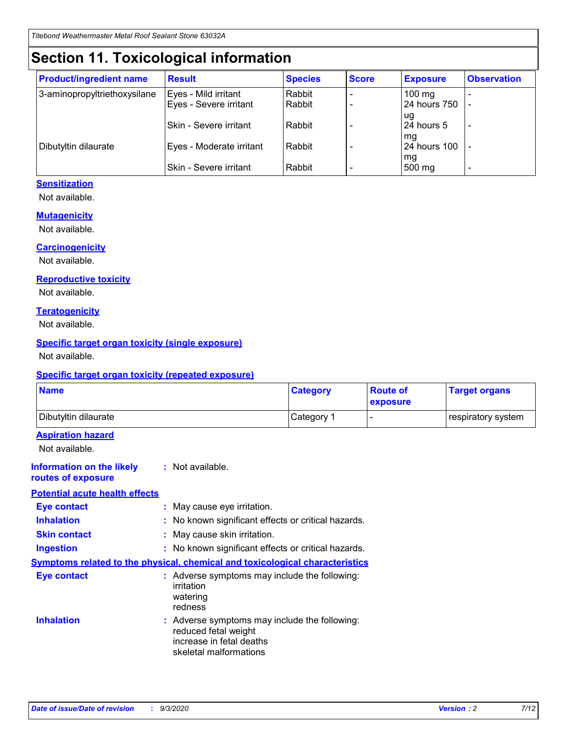## **Section 11. Toxicological information**

| <b>Product/ingredient name</b> | <b>Result</b>                 | <b>Species</b> | <b>Score</b> | <b>Exposure</b>    | <b>Observation</b>       |
|--------------------------------|-------------------------------|----------------|--------------|--------------------|--------------------------|
| 3-aminopropyltriethoxysilane   | Eyes - Mild irritant          | Rabbit         |              | $100 \text{ mg}$   |                          |
|                                | Eyes - Severe irritant        | Rabbit         |              | 24 hours 750       |                          |
|                                |                               |                |              | ug                 |                          |
|                                | <b>Skin - Severe irritant</b> | Rabbit         |              | 24 hours 5         | $\overline{\phantom{0}}$ |
| Dibutyltin dilaurate           | Eyes - Moderate irritant      | Rabbit         |              | mg<br>24 hours 100 |                          |
|                                |                               |                |              | mg                 |                          |
|                                | Skin - Severe irritant        | Rabbit         |              | 500 mg             | -                        |

### **Sensitization**

Not available.

### **Mutagenicity**

Not available.

#### **Carcinogenicity**

Not available.

#### **Reproductive toxicity**

Not available.

#### **Teratogenicity**

Not available.

### **Specific target organ toxicity (single exposure)**

Not available.

#### **Specific target organ toxicity (repeated exposure)**

| <b>Name</b>                                                                         |                                                                            | <b>Category</b>                                     | <b>Route of</b><br>exposure | <b>Target organs</b> |  |  |
|-------------------------------------------------------------------------------------|----------------------------------------------------------------------------|-----------------------------------------------------|-----------------------------|----------------------|--|--|
| Dibutyltin dilaurate                                                                |                                                                            | Category 1                                          |                             | respiratory system   |  |  |
| <b>Aspiration hazard</b><br>Not available.                                          |                                                                            |                                                     |                             |                      |  |  |
| <b>Information on the likely</b><br>routes of exposure                              | : Not available.                                                           |                                                     |                             |                      |  |  |
| <b>Potential acute health effects</b>                                               |                                                                            |                                                     |                             |                      |  |  |
| <b>Eye contact</b>                                                                  | : May cause eye irritation.                                                |                                                     |                             |                      |  |  |
| <b>Inhalation</b>                                                                   |                                                                            | : No known significant effects or critical hazards. |                             |                      |  |  |
| <b>Skin contact</b>                                                                 |                                                                            | : May cause skin irritation.                        |                             |                      |  |  |
| <b>Ingestion</b>                                                                    |                                                                            | : No known significant effects or critical hazards. |                             |                      |  |  |
| <b>Symptoms related to the physical, chemical and toxicological characteristics</b> |                                                                            |                                                     |                             |                      |  |  |
| <b>Eye contact</b>                                                                  | irritation<br>watering<br>redness                                          | : Adverse symptoms may include the following:       |                             |                      |  |  |
| <b>Inhalation</b>                                                                   | reduced fetal weight<br>increase in fetal deaths<br>skeletal malformations | : Adverse symptoms may include the following:       |                             |                      |  |  |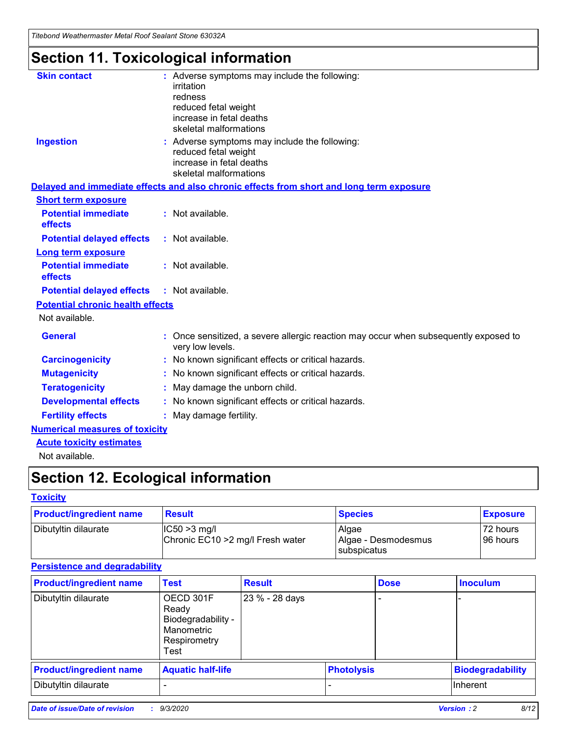*Titebond Weathermaster Metal Roof Sealant Stone 63032A*

## **Section 11. Toxicological information**

| <b>Skin contact</b>                     | irritation<br>redness<br>reduced fetal weight<br>increase in fetal deaths<br>skeletal malformations | : Adverse symptoms may include the following:                                            |
|-----------------------------------------|-----------------------------------------------------------------------------------------------------|------------------------------------------------------------------------------------------|
| <b>Ingestion</b>                        | reduced fetal weight<br>increase in fetal deaths<br>skeletal malformations                          | : Adverse symptoms may include the following:                                            |
|                                         |                                                                                                     | Delayed and immediate effects and also chronic effects from short and long term exposure |
| <b>Short term exposure</b>              |                                                                                                     |                                                                                          |
| <b>Potential immediate</b><br>effects   | : Not available.                                                                                    |                                                                                          |
| <b>Potential delayed effects</b>        | : Not available.                                                                                    |                                                                                          |
| <b>Long term exposure</b>               |                                                                                                     |                                                                                          |
| <b>Potential immediate</b><br>effects   | : Not available.                                                                                    |                                                                                          |
| <b>Potential delayed effects</b>        | : Not available.                                                                                    |                                                                                          |
| <b>Potential chronic health effects</b> |                                                                                                     |                                                                                          |
| Not available.                          |                                                                                                     |                                                                                          |
| <b>General</b>                          | very low levels.                                                                                    | : Once sensitized, a severe allergic reaction may occur when subsequently exposed to     |
| <b>Carcinogenicity</b>                  |                                                                                                     | : No known significant effects or critical hazards.                                      |
| <b>Mutagenicity</b>                     |                                                                                                     | No known significant effects or critical hazards.                                        |
| <b>Teratogenicity</b>                   |                                                                                                     | May damage the unborn child.                                                             |
| <b>Developmental effects</b>            |                                                                                                     | : No known significant effects or critical hazards.                                      |
| <b>Fertility effects</b>                | May damage fertility.                                                                               |                                                                                          |
| <b>Numerical measures of toxicity</b>   |                                                                                                     |                                                                                          |
| <b>Acute toxicity estimates</b>         |                                                                                                     |                                                                                          |
| Not available.                          |                                                                                                     |                                                                                          |

## **Section 12. Ecological information**

### **Toxicity**

| <b>Product/ingredient name</b> | <b>Result</b>                                       | <b>Species</b>               | <b>Exposure</b>       |
|--------------------------------|-----------------------------------------------------|------------------------------|-----------------------|
| Dibutyltin dilaurate           | $ IC50>3$ mg/l<br>Chronic EC10 > 2 mg/l Fresh water | Algae<br>Algae - Desmodesmus | 72 hours<br>196 hours |
|                                |                                                     | <b>I</b> subspicatus         |                       |

### **Persistence and degradability**

| <b>Product/ingredient name</b> | <b>Test</b>                                                                    | <b>Result</b>  |                   | <b>Dose</b> | <b>Inoculum</b>         |
|--------------------------------|--------------------------------------------------------------------------------|----------------|-------------------|-------------|-------------------------|
| Dibutyltin dilaurate           | OECD 301F<br>Ready<br>Biodegradability -<br>Manometric<br>Respirometry<br>Test | 23 % - 28 days |                   |             |                         |
| <b>Product/ingredient name</b> | <b>Aquatic half-life</b>                                                       |                | <b>Photolysis</b> |             | <b>Biodegradability</b> |
| Dibutyltin dilaurate           |                                                                                |                |                   |             | <b>Inherent</b>         |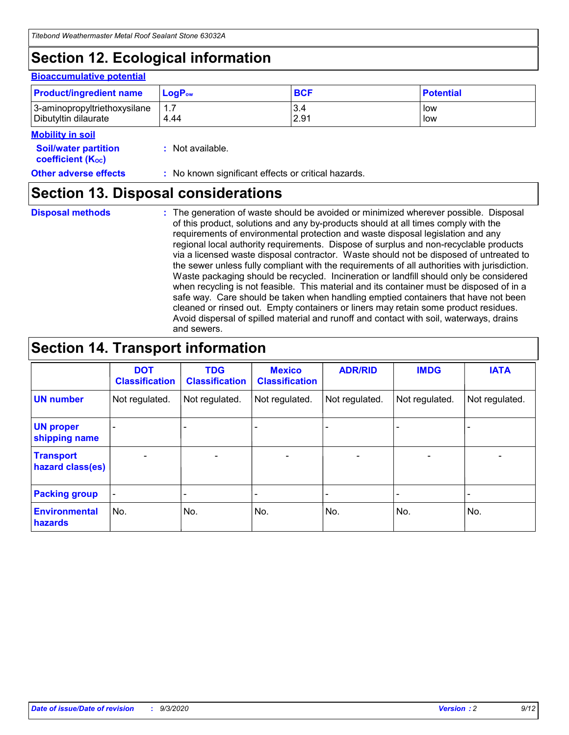## **Section 12. Ecological information**

#### **Bioaccumulative potential**

| <b>Product/ingredient name</b> | $\mathsf{LogP}_\mathsf{ow}$ | <b>BCF</b> | <b>Potential</b> |
|--------------------------------|-----------------------------|------------|------------------|
| 3-aminopropyltriethoxysilane   | 1.7                         | 3.4        | low              |
| Dibutyltin dilaurate           | 4.44                        | 2.91       | low              |

### **Mobility in soil**

| MUNIHIY III JUH                                               |                                                     |
|---------------------------------------------------------------|-----------------------------------------------------|
| <b>Soil/water partition</b><br>coefficient (K <sub>oc</sub> ) | : Not available.                                    |
| <b>Other adverse effects</b>                                  | : No known significant effects or critical hazards. |

### **Section 13. Disposal considerations**

**Disposal methods :**

The generation of waste should be avoided or minimized wherever possible. Disposal of this product, solutions and any by-products should at all times comply with the requirements of environmental protection and waste disposal legislation and any regional local authority requirements. Dispose of surplus and non-recyclable products via a licensed waste disposal contractor. Waste should not be disposed of untreated to the sewer unless fully compliant with the requirements of all authorities with jurisdiction. Waste packaging should be recycled. Incineration or landfill should only be considered when recycling is not feasible. This material and its container must be disposed of in a safe way. Care should be taken when handling emptied containers that have not been cleaned or rinsed out. Empty containers or liners may retain some product residues. Avoid dispersal of spilled material and runoff and contact with soil, waterways, drains and sewers.

### **Section 14. Transport information**

|                                      | <b>DOT</b><br><b>Classification</b> | <b>TDG</b><br><b>Classification</b> | <b>Mexico</b><br><b>Classification</b> | <b>ADR/RID</b>           | <b>IMDG</b>              | <b>IATA</b>    |
|--------------------------------------|-------------------------------------|-------------------------------------|----------------------------------------|--------------------------|--------------------------|----------------|
| <b>UN number</b>                     | Not regulated.                      | Not regulated.                      | Not regulated.                         | Not regulated.           | Not regulated.           | Not regulated. |
| <b>UN proper</b><br>shipping name    |                                     |                                     |                                        |                          |                          |                |
| <b>Transport</b><br>hazard class(es) |                                     | $\overline{\phantom{0}}$            | $\qquad \qquad \blacksquare$           | $\overline{\phantom{0}}$ | $\overline{\phantom{0}}$ |                |
| <b>Packing group</b>                 |                                     |                                     |                                        |                          |                          |                |
| <b>Environmental</b><br>hazards      | No.                                 | No.                                 | No.                                    | No.                      | No.                      | No.            |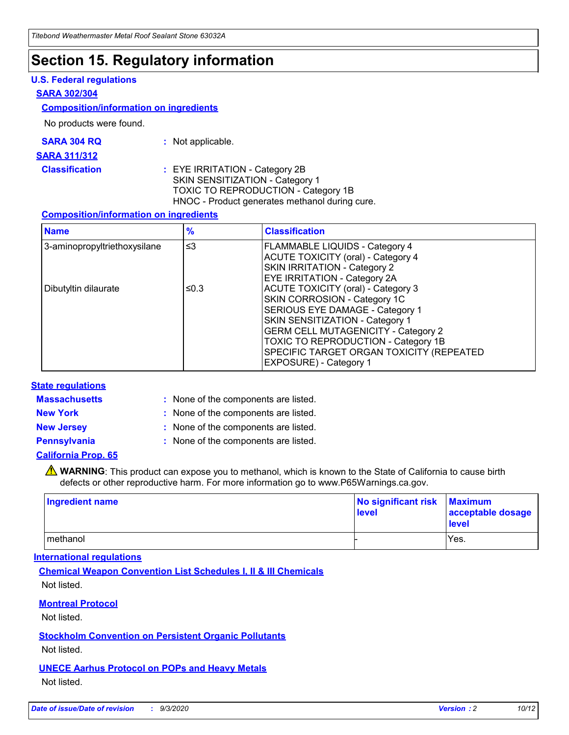### **Section 15. Regulatory information**

### **U.S. Federal regulations**

#### **SARA 302/304**

### **Composition/information on ingredients**

No products were found.

| SARA 304 RQ | Not applicable. |
|-------------|-----------------|
|-------------|-----------------|

#### **SARA 311/312**

**Classification :** EYE IRRITATION - Category 2B SKIN SENSITIZATION - Category 1 TOXIC TO REPRODUCTION - Category 1B HNOC - Product generates methanol during cure.

### **Composition/information on ingredients**

| <b>Name</b>                  | $\frac{9}{6}$ | <b>Classification</b>                                                                                                                                                                                                                                                                                      |
|------------------------------|---------------|------------------------------------------------------------------------------------------------------------------------------------------------------------------------------------------------------------------------------------------------------------------------------------------------------------|
| 3-aminopropyltriethoxysilane | $\leq$ 3      | <b>FLAMMABLE LIQUIDS - Category 4</b><br><b>ACUTE TOXICITY (oral) - Category 4</b><br><b>SKIN IRRITATION - Category 2</b><br>EYE IRRITATION - Category 2A                                                                                                                                                  |
| Dibutyltin dilaurate         | ≤0.3          | <b>ACUTE TOXICITY (oral) - Category 3</b><br>SKIN CORROSION - Category 1C<br>SERIOUS EYE DAMAGE - Category 1<br>SKIN SENSITIZATION - Category 1<br><b>GERM CELL MUTAGENICITY - Category 2</b><br>TOXIC TO REPRODUCTION - Category 1B<br>SPECIFIC TARGET ORGAN TOXICITY (REPEATED<br>EXPOSURE) - Category 1 |

### **State regulations**

**Massachusetts :**

: None of the components are listed.

**New York :** None of the components are listed. **New Jersey :** None of the components are listed.

**Pennsylvania :** None of the components are listed.

### **California Prop. 65**

WARNING: This product can expose you to methanol, which is known to the State of California to cause birth defects or other reproductive harm. For more information go to www.P65Warnings.ca.gov.

| Ingredient name | No significant risk Maximum<br>level | acceptable dosage<br><b>level</b> |
|-----------------|--------------------------------------|-----------------------------------|
| I methanol      |                                      | Yes.                              |

### **International regulations**

**Chemical Weapon Convention List Schedules I, II & III Chemicals** Not listed.

**Montreal Protocol**

Not listed.

**Stockholm Convention on Persistent Organic Pollutants**

Not listed.

**UNECE Aarhus Protocol on POPs and Heavy Metals** Not listed.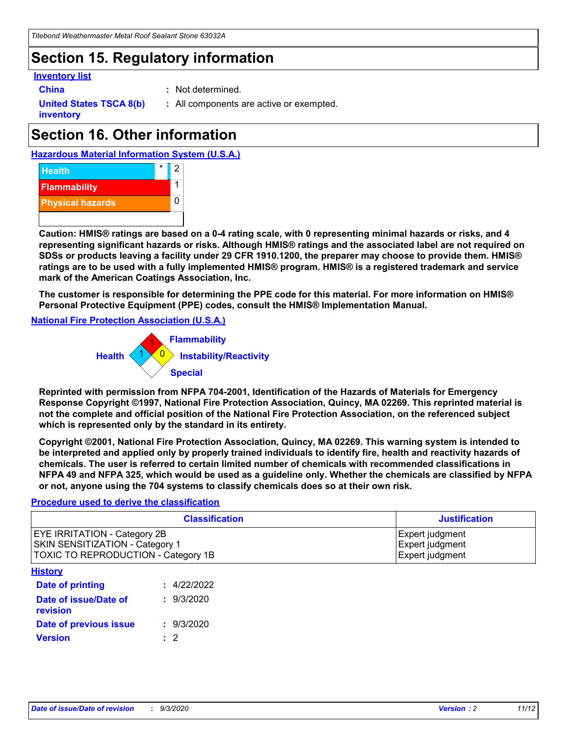### **Section 15. Regulatory information**

### **Inventory list**

- 
- **China :** Not determined.

**United States TSCA 8(b) inventory**

**:** All components are active or exempted.

## **Section 16. Other information**





**Caution: HMIS® ratings are based on a 0-4 rating scale, with 0 representing minimal hazards or risks, and 4 representing significant hazards or risks. Although HMIS® ratings and the associated label are not required on SDSs or products leaving a facility under 29 CFR 1910.1200, the preparer may choose to provide them. HMIS® ratings are to be used with a fully implemented HMIS® program. HMIS® is a registered trademark and service mark of the American Coatings Association, Inc.**

**The customer is responsible for determining the PPE code for this material. For more information on HMIS® Personal Protective Equipment (PPE) codes, consult the HMIS® Implementation Manual.**

**National Fire Protection Association (U.S.A.)**



**Reprinted with permission from NFPA 704-2001, Identification of the Hazards of Materials for Emergency Response Copyright ©1997, National Fire Protection Association, Quincy, MA 02269. This reprinted material is not the complete and official position of the National Fire Protection Association, on the referenced subject which is represented only by the standard in its entirety.**

**Copyright ©2001, National Fire Protection Association, Quincy, MA 02269. This warning system is intended to be interpreted and applied only by properly trained individuals to identify fire, health and reactivity hazards of chemicals. The user is referred to certain limited number of chemicals with recommended classifications in NFPA 49 and NFPA 325, which would be used as a guideline only. Whether the chemicals are classified by NFPA or not, anyone using the 704 systems to classify chemicals does so at their own risk.**

### **Procedure used to derive the classification**

| <b>Classification</b>                                                                                                | <b>Justification</b>                                  |
|----------------------------------------------------------------------------------------------------------------------|-------------------------------------------------------|
| <b>EYE IRRITATION - Category 2B</b><br><b>SKIN SENSITIZATION - Category 1</b><br>TOXIC TO REPRODUCTION - Category 1B | Expert judgment<br>Expert judgment<br>Expert judgment |
| <b>History</b>                                                                                                       |                                                       |

| .                                 |             |
|-----------------------------------|-------------|
| <b>Date of printing</b>           | : 4/22/2022 |
| Date of issue/Date of<br>revision | : 9/3/2020  |
| Date of previous issue            | : 9/3/2020  |
| <b>Version</b>                    | $\cdot$ 2   |
|                                   |             |